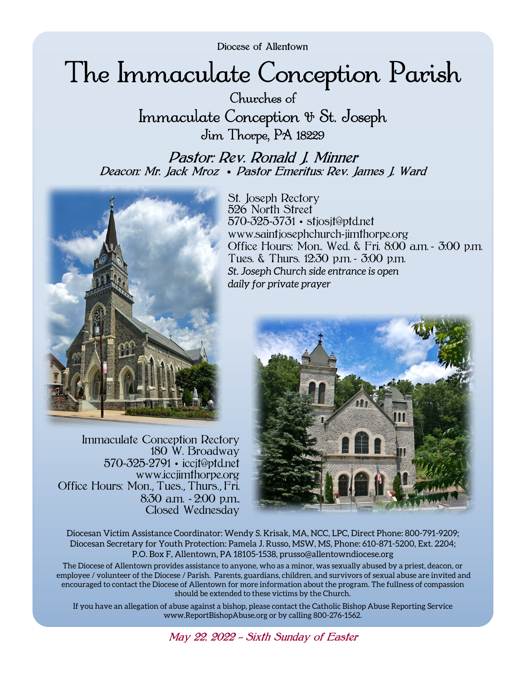Diocese of Allentown

# The Immaculate Conception Parish

Churches of Immaculate Conception & St. Joseph Jim Thorpe, PA 18229

Pastor: Rev. Ronald J. Minner Deacon: Mr. Jack Mroz • Pastor Emeritus: Rev. James J. Ward



Immaculate Conception Rectory 180 W. Broadway 570-325-2791 • iccjt@ptd.net www.iccjimthorpe.org Office Hours: Mon., Tues., Thurs., Fri, 8:30 a.m. - 2:00 p.m., Closed Wednesday

St. Joseph Rectory 526 North Street 570-325-3731 • stjosjt@ptd.net www.saintjosephchurch-jimthorpe.org Office Hours: Mon., Wed. & Fri. 8:00 a.m. - 3:00 p.m. Tues. & Thurs. 12:30 p.m. - 3:00 p.m. *St. Joseph Church side entrance is open daily for private prayer* 



Diocesan Victim Assistance Coordinator: Wendy S. Krisak, MA, NCC, LPC, Direct Phone: 800-791-9209; Diocesan Secretary for Youth Protection: Pamela J. Russo, MSW, MS, Phone: 610-871-5200, Ext. 2204; P.O. Box F, Allentown, PA 18105-1538, prusso@allentowndiocese.org

The Diocese of Allentown provides assistance to anyone, who as a minor, was sexually abused by a priest, deacon, or employee / volunteer of the Diocese / Parish. Parents, guardians, children, and survivors of sexual abuse are invited and encouraged to contact the Diocese of Allentown for more information about the program. The fullness of compassion should be extended to these victims by the Church.

If you have an allegation of abuse against a bishop, please contact the Catholic Bishop Abuse Reporting Service www.ReportBishopAbuse.org or by calling 800-276-1562.

May 22, 2022 *~* Sixth Sunday of Easter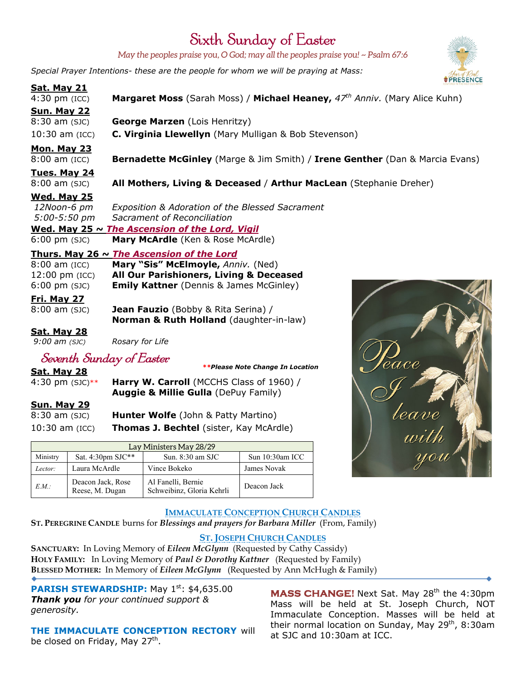# Sixth Sunday of Easter

*May the peoples praise you, O God; may all the peoples praise you! ~ Psalm 67:6* 

*Special Prayer Intentions- these are the people for whom we will be praying at Mass:*



# **Sun. May 29**

8:30 am (SJC) **Hunter Wolfe** (John & Patty Martino) 10:30 am (ICC) **Thomas J. Bechtel** (sister, Kay McArdle)

|          | Lay Ministers May 28/29              |                                                 |                 |  |
|----------|--------------------------------------|-------------------------------------------------|-----------------|--|
| Ministry | Sat. 4:30pm SJC**                    | Sun. $8:30$ am SJC                              | Sun 10:30am ICC |  |
| Lector:  | Laura McArdle                        | Vince Bokeko                                    | James Novak     |  |
| E.M.     | Deacon Jack, Rose<br>Reese, M. Dugan | Al Fanelli, Bernie<br>Schweibinz, Gloria Kehrli | Deacon Jack     |  |



### **IMMACULATE CONCEPTION CHURCH CANDLES ST. PEREGRINE CANDLE** burns for *Blessings and prayers for Barbara Miller* (From, Family)

# **ST. JOSEPH CHURCH CANDLES**

**SANCTUARY:** In Loving Memory of *Eileen McGlynn* (Requested by Cathy Cassidy) **HOLY FAMILY:** In Loving Memory of *Paul & Dorothy Kattner* (Requested by Family) **BLESSED MOTHER:** In Memory of *Eileen McGlynn* (Requested by Ann McHugh & Family)

**PARISH STEWARDSHIP:** May 1<sup>st</sup>: \$4,635.00 *Thank you for your continued support & generosity.* 

**THE IMMACULATE CONCEPTION RECTORY** will be closed on Friday, May 27<sup>th</sup>.

**MASS CHANGE!** Next Sat. May 28<sup>th</sup> the 4:30pm Mass will be held at St. Joseph Church, NOT Immaculate Conception. Masses will be held at their normal location on Sunday, May  $29<sup>th</sup>$ , 8:30am at SJC and 10:30am at ICC.